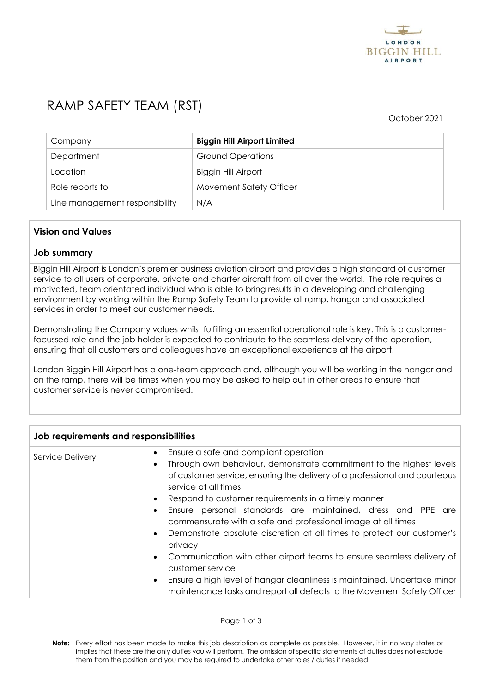

# RAMP SAFETY TEAM (RST)

October 2021

| Company                        | <b>Biggin Hill Airport Limited</b> |
|--------------------------------|------------------------------------|
| Department                     | <b>Ground Operations</b>           |
| Location                       | <b>Biggin Hill Airport</b>         |
| Role reports to                | Movement Safety Officer            |
| Line management responsibility | N/A                                |

## **Vision and Values**

### **Job summary**

Biggin Hill Airport is London's premier business aviation airport and provides a high standard of customer service to all users of corporate, private and charter aircraft from all over the world. The role requires a motivated, team orientated individual who is able to bring results in a developing and challenging environment by working within the Ramp Safety Team to provide all ramp, hangar and associated services in order to meet our customer needs.

Demonstrating the Company values whilst fulfilling an essential operational role is key. This is a customerfocussed role and the job holder is expected to contribute to the seamless delivery of the operation, ensuring that all customers and colleagues have an exceptional experience at the airport.

London Biggin Hill Airport has a one-team approach and, although you will be working in the hangar and on the ramp, there will be times when you may be asked to help out in other areas to ensure that customer service is never compromised.

| Job requirements and responsibilities |                                                                                                                                                                                                                                                                                                                                                                                                                                                                                                                                                                                                                                                                                                                                                                                                                                 |  |
|---------------------------------------|---------------------------------------------------------------------------------------------------------------------------------------------------------------------------------------------------------------------------------------------------------------------------------------------------------------------------------------------------------------------------------------------------------------------------------------------------------------------------------------------------------------------------------------------------------------------------------------------------------------------------------------------------------------------------------------------------------------------------------------------------------------------------------------------------------------------------------|--|
| Service Delivery                      | Ensure a safe and compliant operation<br>$\bullet$<br>Through own behaviour, demonstrate commitment to the highest levels<br>$\bullet$<br>of customer service, ensuring the delivery of a professional and courteous<br>service at all times<br>Respond to customer requirements in a timely manner<br>Ensure personal standards are maintained, dress and PPE are<br>$\bullet$<br>commensurate with a safe and professional image at all times<br>Demonstrate absolute discretion at all times to protect our customer's<br>$\bullet$<br>privacy<br>Communication with other airport teams to ensure seamless delivery of<br>$\bullet$<br>customer service<br>Ensure a high level of hangar cleanliness is maintained. Undertake minor<br>$\bullet$<br>maintenance tasks and report all defects to the Movement Safety Officer |  |

**Note:** Every effort has been made to make this job description as complete as possible. However, it in no way states or implies that these are the only duties you will perform. The omission of specific statements of duties does not exclude them from the position and you may be required to undertake other roles / duties if needed.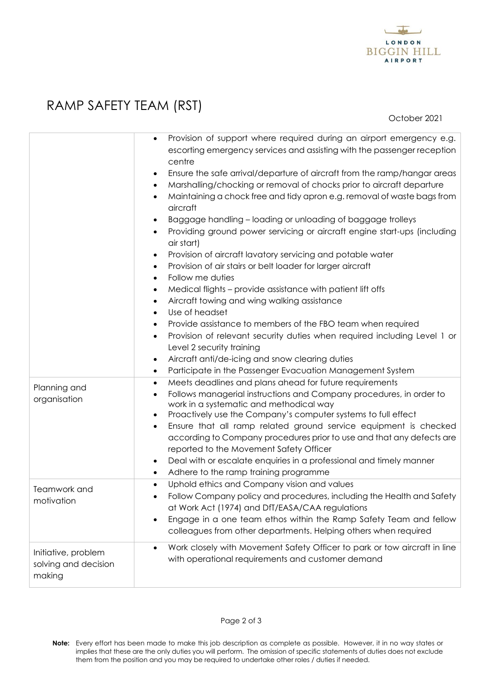

# RAMP SAFETY TEAM (RST)

October 2021

|                                                       | Provision of support where required during an airport emergency e.g.<br>$\bullet$<br>escorting emergency services and assisting with the passenger reception<br>centre<br>Ensure the safe arrival/departure of aircraft from the ramp/hangar areas<br>Marshalling/chocking or removal of chocks prior to aircraft departure<br>$\bullet$<br>Maintaining a chock free and tidy apron e.g. removal of waste bags from<br>aircraft<br>Baggage handling - loading or unloading of baggage trolleys<br>Providing ground power servicing or aircraft engine start-ups (including<br>air start)<br>Provision of aircraft lavatory servicing and potable water<br>$\bullet$<br>Provision of air stairs or belt loader for larger aircraft<br>Follow me duties<br>$\bullet$<br>Medical flights - provide assistance with patient lift offs<br>Aircraft towing and wing walking assistance<br>Use of headset<br>Provide assistance to members of the FBO team when required<br>Provision of relevant security duties when required including Level 1 or<br>$\bullet$<br>Level 2 security training<br>Aircraft anti/de-icing and snow clearing duties<br>Participate in the Passenger Evacuation Management System |
|-------------------------------------------------------|---------------------------------------------------------------------------------------------------------------------------------------------------------------------------------------------------------------------------------------------------------------------------------------------------------------------------------------------------------------------------------------------------------------------------------------------------------------------------------------------------------------------------------------------------------------------------------------------------------------------------------------------------------------------------------------------------------------------------------------------------------------------------------------------------------------------------------------------------------------------------------------------------------------------------------------------------------------------------------------------------------------------------------------------------------------------------------------------------------------------------------------------------------------------------------------------------------|
| Planning and<br>organisation                          | Meets deadlines and plans ahead for future requirements<br>$\bullet$<br>Follows managerial instructions and Company procedures, in order to<br>work in a systematic and methodical way<br>Proactively use the Company's computer systems to full effect<br>$\bullet$<br>Ensure that all ramp related ground service equipment is checked<br>$\bullet$<br>according to Company procedures prior to use and that any defects are<br>reported to the Movement Safety Officer<br>Deal with or escalate enquiries in a professional and timely manner<br>Adhere to the ramp training programme                                                                                                                                                                                                                                                                                                                                                                                                                                                                                                                                                                                                               |
|                                                       |                                                                                                                                                                                                                                                                                                                                                                                                                                                                                                                                                                                                                                                                                                                                                                                                                                                                                                                                                                                                                                                                                                                                                                                                         |
| Teamwork and<br>motivation                            | Uphold ethics and Company vision and values<br>Follow Company policy and procedures, including the Health and Safety<br>at Work Act (1974) and DfT/EASA/CAA regulations<br>Engage in a one team ethos within the Ramp Safety Team and fellow<br>colleagues from other departments. Helping others when required                                                                                                                                                                                                                                                                                                                                                                                                                                                                                                                                                                                                                                                                                                                                                                                                                                                                                         |
| Initiative, problem<br>solving and decision<br>making | Work closely with Movement Safety Officer to park or tow aircraft in line<br>with operational requirements and customer demand                                                                                                                                                                                                                                                                                                                                                                                                                                                                                                                                                                                                                                                                                                                                                                                                                                                                                                                                                                                                                                                                          |

**Note:** Every effort has been made to make this job description as complete as possible. However, it in no way states or implies that these are the only duties you will perform. The omission of specific statements of duties does not exclude them from the position and you may be required to undertake other roles / duties if needed.